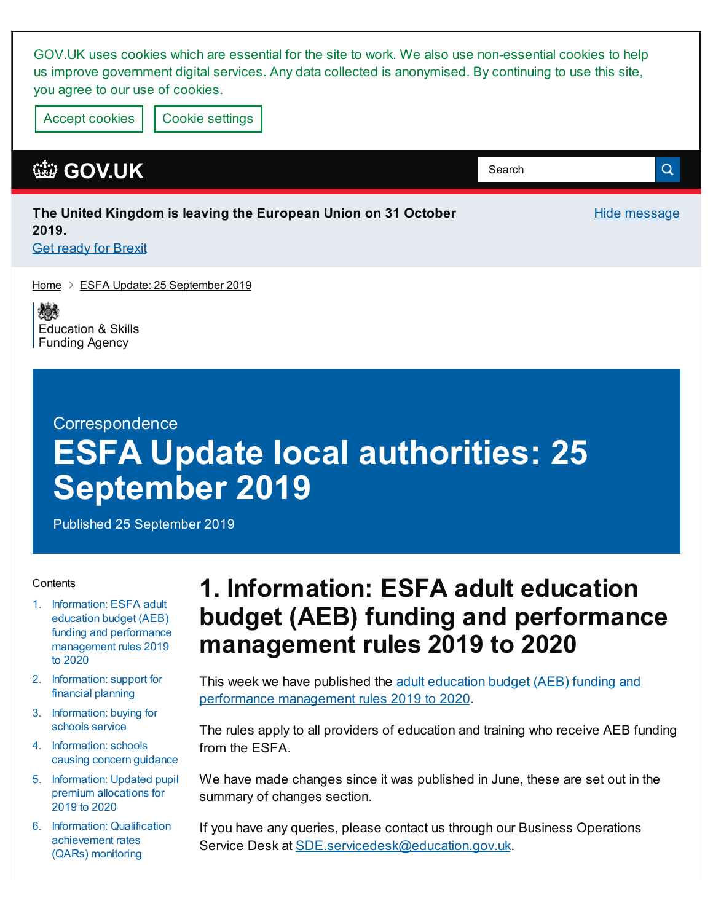GOV.UK uses cookies which are essential for the site to work. We also use non-essential cookies to help us improve government digital services. Any data collected is anonymised. By continuing to use this site, you agree to our use of cookies.

Accept cookies | Cookie [settings](https://www.gov.uk/help/cookies)

#### **[GOV.UK](https://www.gov.uk)**

#### **The United Kingdom is leaving the European Union on 31 October 2019. Get ready for [Brexit](https://www.gov.uk/brexit)**

[Home](https://www.gov.uk/)  $\geq$  ESFA Update: 25 [September](https://www.gov.uk/government/publications/esfa-update-25-september-2019) 2019

嫁 [Education](https://www.gov.uk/government/organisations/education-and-skills-funding-agency) & Skills Funding Agency

#### **Correspondence**

# **ESFA Update local authorities: 25 September 2019**

Published 25 September 2019

#### **Contents**

- 1. Information: ESFA adult education budget (AEB) funding and performance [management](#page-0-0) rules 2019 to 2020
- 2. [Information:](#page-1-0) support for financial planning
- 3. [Information:](#page-1-1) buying for schools service
- 4. [Information:](#page-1-2) schools causing concern guidance
- 5. [Information:](#page-2-0) Updated pupil premium allocations for 2019 to 2020
- 6. Information: Qualification [achievement](#page-2-1) rates (QARs) monitoring

## <span id="page-0-0"></span>**1. Information: ESFA adult education budget (AEB) funding and performance management rules 2019 to 2020**

Hide message

Q

Search

This week we have published the adult education budget (AEB) funding and performance [management](https://www.gov.uk/government/publications/adult-education-budget-aeb-funding-rules-2019-to-2020) rules 2019 to 2020.

The rules apply to all providers of education and training who receive AEB funding from the ESFA.

We have made changes since it was published in June, these are set out in the summary of changes section.

If you have any queries, please contact us through our Business Operations Service Desk at [SDE.servicedesk@education.gov.uk](mailto:SDE.servicedesk@education.gov.uk).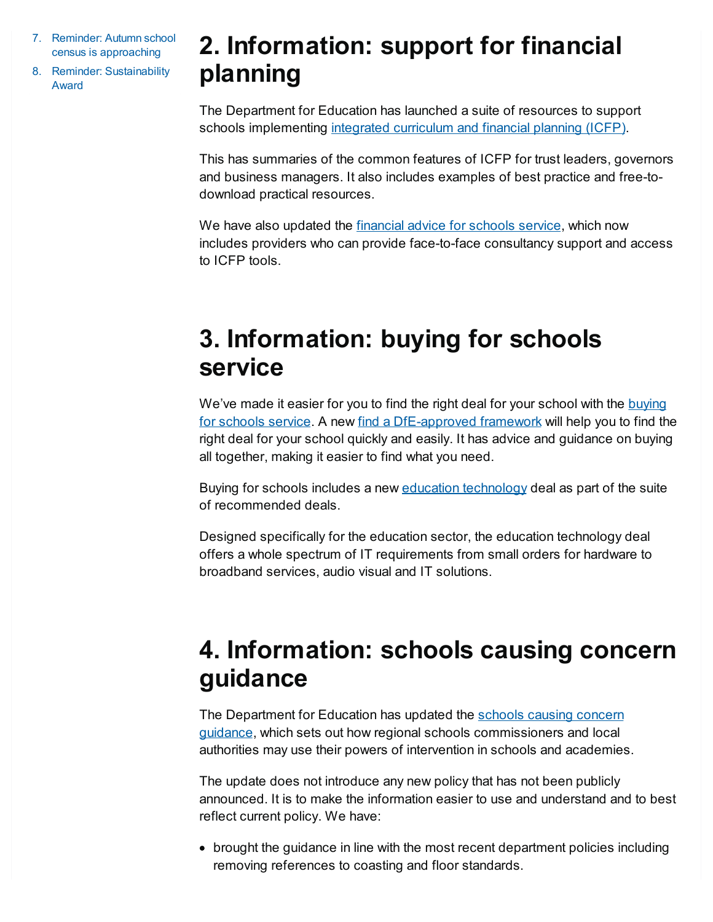- 7. Reminder: Autumn school census is approaching
- 8. Reminder: [Sustainability](#page-3-0) Award

## <span id="page-1-0"></span>**2. Information: support for financial planning**

The Department for Education has launched a suite of resources to support schools implementing integrated [curriculum](https://www.gov.uk/guidance/integrated-curriculum-and-financial-planning-icfp) and financial planning (ICFP).

This has summaries of the common features of ICFP for trust leaders, governors and business managers. It also includes examples of best practice and free-todownload practical resources.

We have also updated the [financial](https://www.gov.uk/guidance/get-financial-advice-for-schools) advice for schools service, which now includes providers who can provide face-to-face consultancy support and access to ICFP tools.

## <span id="page-1-1"></span>**3. Information: buying for schools service**

We've made it easier for you to find the right deal for your school with the buying for schools service. A new find a [DfE-approved](https://www.gov.uk/guidance/buying-for-schools?utm_source=email&utm_medium=Email&utm_campaign=Back to school) framework will help you to find the right deal for your school quickly and easily. It has advice and guidance on buying all together, making it easier to find what you need.

Buying for schools includes a new education [technology](http://bit.ly/SCTEdTec) deal as part of the suite of recommended deals.

Designed specifically for the education sector, the education technology deal offers a whole spectrum of IT requirements from small orders for hardware to broadband services, audio visual and IT solutions.

## <span id="page-1-2"></span>**4. Information: schools causing concern guidance**

The Department for Education has updated the schools causing concern guidance, which sets out how regional schools [commissioners](https://www.gov.uk/government/publications/schools-causing-concern--2) and local authorities may use their powers of intervention in schools and academies.

The update does not introduce any new policy that has not been publicly announced. It is to make the information easier to use and understand and to best reflect current policy. We have:

brought the guidance in line with the most recent department policies including removing references to coasting and floor standards.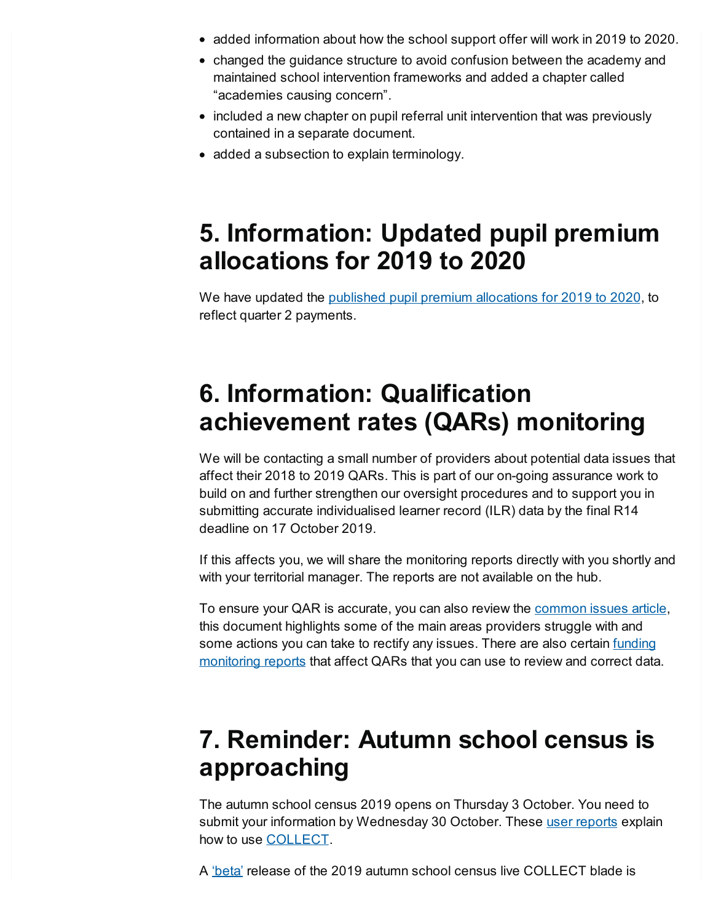- added information about how the school support offer will work in 2019 to 2020.
- changed the guidance structure to avoid confusion between the academy and maintained school intervention frameworks and added a chapter called "academies causing concern".
- included a new chapter on pupil referral unit intervention that was previously contained in a separate document.
- added a subsection to explain terminology.

### <span id="page-2-0"></span>**5. Information: Updated pupil premium allocations for 2019 to 2020**

We have updated the published pupil premium [allocations](https://www.gov.uk/government/publications/pupil-premium-allocations-and-conditions-of-grant-2019-to-2020) for 2019 to 2020, to reflect quarter 2 payments.

## <span id="page-2-1"></span>**6. Information: Qualification achievement rates (QARs) monitoring**

We will be contacting a small number of providers about potential data issues that affect their 2018 to 2019 QARs. This is part of our on-going assurance work to build on and further strengthen our oversight procedures and to support you in submitting accurate individualised learner record (ILR) data by the final R14 deadline on 17 October 2019.

If this affects you, we will share the monitoring reports directly with you shortly and with your territorial manager. The reports are not available on the hub.

To ensure your QAR is accurate, you can also review the [common](https://www.gov.uk/government/publications/sfa-inform/inform-may-2019#commonissuesQAR) issues article, this document highlights some of the main areas providers struggle with and some actions you can take to rectify any issues. There are also certain funding [monitoring](https://www.gov.uk/guidance/esfa-financial-assurance-monitoring-the-funding-rules) reports that affect QARs that you can use to review and correct data.

#### **7. Reminder: Autumn school census is approaching**

The autumn school census 2019 opens on Thursday 3 October. You need to submit your information by Wednesday 30 October. These user [reports](https://www.gov.uk/government/publications/collect-guides-for-schools-and-local-authorities) explain how to use **COLLECT**.

A ['beta'](https://services.signin.education.gov.uk/) release of the 2019 autumn school census live COLLECT blade is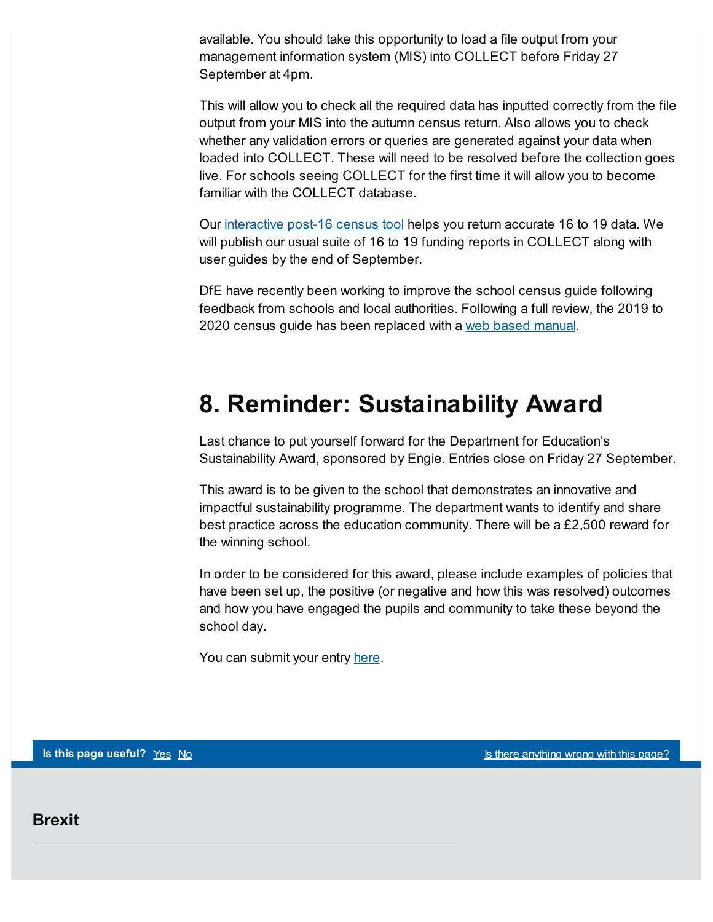available. You should take this opportunity to load a file output from your management information system (MIS) into COLLECT before Friday 27 September at 4pm.

This will allow you to check all the required data has inputted correctly from the file output from your MIS into the autumn census return. Also allows you to check whether any validation errors or queries are generated against your data when loaded into COLLECT. These will need to be resolved before the collection goes live. For schools seeing COLLECT for the first time it will allow you to become familiar with the COLLECT database.

Our [interactive](https://www.gov.uk/government/publications/interactive-post-16-school-census-tool) post-16 census tool helps you return accurate 16 to 19 data. We will publish our usual suite of 16 to 19 funding reports in COLLECT along with user guides by the end of September.

DfE have recently been working to improve the school census guide following feedback from schools and local authorities. Following a full review, the 2019 to 2020 census guide has been replaced with a web based [manual](https://www.gov.uk/guidance/complete-the-school-census/check-your-data).

#### <span id="page-3-0"></span>**8. Reminder: Sustainability Award**

Last chance to put yourself forward for the Department for Education's Sustainability Award, sponsored by Engie. Entries close on Friday 27 September.

This award is to be given to the school that demonstrates an innovative and impactful sustainability programme. The department wants to identify and share best practice across the education community. There will be a £2,500 reward for the winning school.

In order to be considered for this award, please include examples of policies that have been set up, the positive (or negative and how this was resolved) outcomes and how you have engaged the pupils and community to take these beyond the school day.

You can submit your entry [here](https://www.educationestates.com/awards-entry-dfe/).

**Is this page useful?** [Yes](https://www.gov.uk/contact/govuk) [No](https://www.gov.uk/contact/govuk) Is the Magnetic Control of the *Islam Control is there [anything](https://www.gov.uk/contact/govuk) wrong with this page?* 

**Brexit**